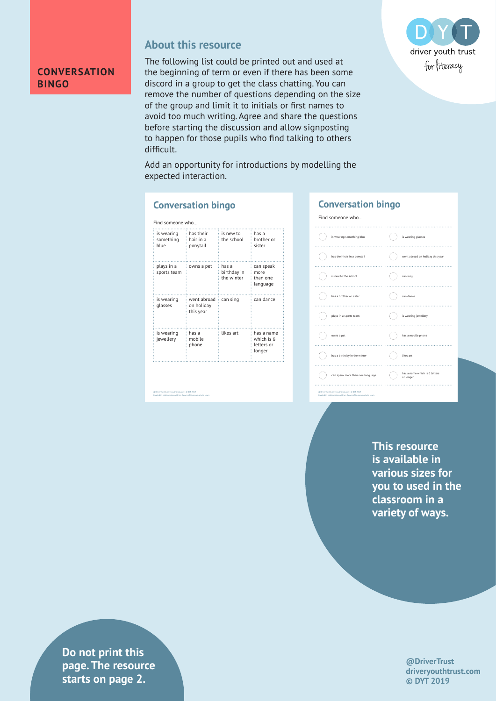

#### **About this resource**

The following list could be printed out and used at the beginning of term or even if there has been some discord in a group to get the class chatting. You can remove the number of questions depending on the size of the group and limit it to initials or first names to avoid too much writing. Agree and share the questions before starting the discussion and allow signposting to happen for those pupils who find talking to others difficult.



Add an opportunity for introductions by modelling the expected interaction.

#### **Conversation bingo**

| Find someone who                |                                        |                                    |                                                  |  |  |  |
|---------------------------------|----------------------------------------|------------------------------------|--------------------------------------------------|--|--|--|
| is wearing<br>something<br>blue | has their<br>hair in a<br>ponytail     | is new to<br>the school            | has a<br>brother or<br>sister                    |  |  |  |
| plays in a<br>sports team       | owns a pet                             | has a<br>birthday in<br>the winter | can speak<br>more<br>than one<br>language        |  |  |  |
| is wearing<br>glasses           | went abroad<br>on holiday<br>this year | can sing                           | can dance                                        |  |  |  |
| is wearing<br>jewellery         | has a<br>mobile<br>phone               | likes art                          | has a name<br>which is 6<br>letters or<br>longer |  |  |  |

@DriverTrust | driveryouthtrust.com | © DYT 2019 Created in collaboration with Jan Downs of Communicate to Learn



**This resource is available in various sizes for you to used in the classroom in a variety of ways.**

> **@DriverTrust driveryouthtrust.com © DYT 2019**

**Priver is a griver page. The resource**  $\blacksquare$ **Exercise in collaboration with Aasters on page 2. Do not print this**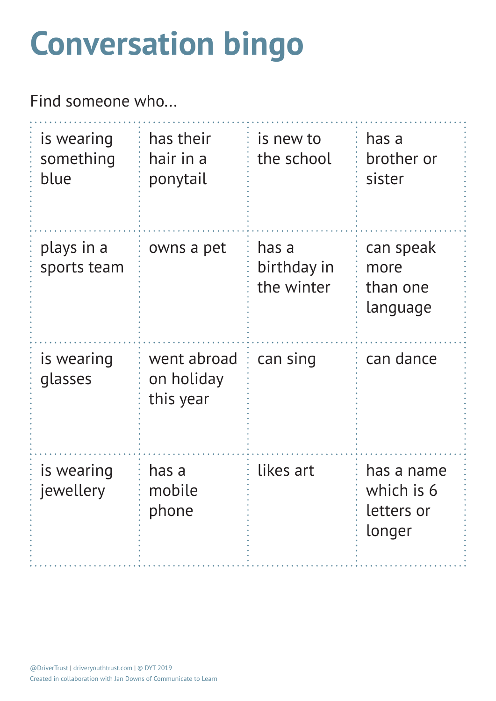# **Conversation bingo**

Find someone who...

| is wearing<br>something<br>blue | has their<br>hair in a<br>ponytail     | is new to<br>the school            | has a<br>brother or<br>sister                    |
|---------------------------------|----------------------------------------|------------------------------------|--------------------------------------------------|
| plays in a<br>sports team       | owns a pet                             | has a<br>birthday in<br>the winter | can speak<br>more<br>than one<br>language        |
| is wearing<br>glasses           | went abroad<br>on holiday<br>this year | can sing                           | can dance                                        |
| is wearing<br>jewellery         | has a<br>mobile<br>phone               | likes art                          | has a name<br>which is 6<br>letters or<br>longer |